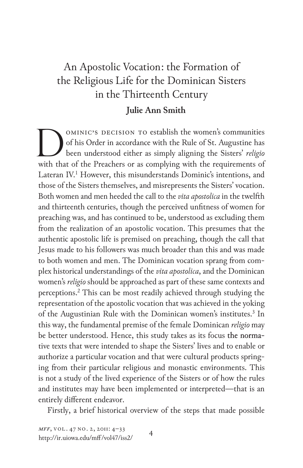# An Apostolic Vocation: the Formation of the Religious Life for the Dominican Sisters in the Thirteenth Century **Julie Ann Smith**

OMINIC'S DECISION TO establish the women's communities of his Order in accordance with the Rule of St. Augustine has been understood either as simply aligning the Sisters' religion with that of the Preachers or as complyin ominic's decision to establish the women's communities of his Order in accordance with the Rule of St. Augustine has been understood either as simply aligning the Sisters' *religio* Lateran IV.<sup>1</sup> However, this misunderstands Dominic's intentions, and those of the Sisters themselves, and misrepresents the Sisters' vocation. Both women and men heeded the call to the *vita apostolica* in the twelfth and thirteenth centuries, though the perceived unfitness of women for preaching was, and has continued to be, understood as excluding them from the realization of an apostolic vocation. This presumes that the authentic apostolic life is premised on preaching, though the call that Jesus made to his followers was much broader than this and was made to both women and men. The Dominican vocation sprang from complex historical understandings of the *vita apostolica*, and the Dominican women's *religio* should be approached as part of these same contexts and perceptions.2 This can be most readily achieved through studying the representation of the apostolic vocation that was achieved in the yoking of the Augustinian Rule with the Dominican women's institutes.<sup>3</sup> In this way, the fundamental premise of the female Dominican *religio* may be better understood. Hence, this study takes as its focus the normative texts that were intended to shape the Sisters' lives and to enable or authorize a particular vocation and that were cultural products springing from their particular religious and monastic environments. This is not a study of the lived experience of the Sisters or of how the rules and institutes may have been implemented or interpreted—that is an entirely different endeavor.

Firstly, a brief historical overview of the steps that made possible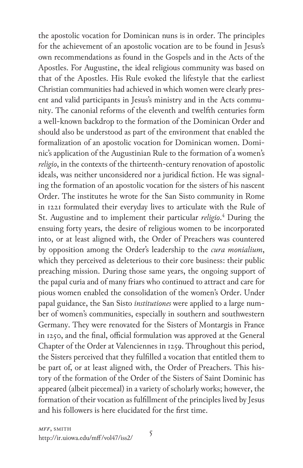the apostolic vocation for Dominican nuns is in order. The principles for the achievement of an apostolic vocation are to be found in Jesus's own recommendations as found in the Gospels and in the Acts of the Apostles. For Augustine, the ideal religious community was based on that of the Apostles. His Rule evoked the lifestyle that the earliest Christian communities had achieved in which women were clearly present and valid participants in Jesus's ministry and in the Acts community. The canonial reforms of the eleventh and twelfth centuries form a well-known backdrop to the formation of the Dominican Order and should also be understood as part of the environment that enabled the formalization of an apostolic vocation for Dominican women. Dominic's application of the Augustinian Rule to the formation of a women's *religio*, in the contexts of the thirteenth-century renovation of apostolic ideals, was neither unconsidered nor a juridical fiction. He was signaling the formation of an apostolic vocation for the sisters of his nascent Order. The institutes he wrote for the San Sisto community in Rome in 1221 formulated their everyday lives to articulate with the Rule of St. Augustine and to implement their particular *religio*. 4 During the ensuing forty years, the desire of religious women to be incorporated into, or at least aligned with, the Order of Preachers was countered by opposition among the Order's leadership to the *cura monialium*, which they perceived as deleterious to their core business: their public preaching mission. During those same years, the ongoing support of the papal curia and of many friars who continued to attract and care for pious women enabled the consolidation of the women's Order. Under papal guidance, the San Sisto *institutiones* were applied to a large number of women's communities, especially in southern and southwestern Germany. They were renovated for the Sisters of Montargis in France in 1250, and the final, official formulation was approved at the General Chapter of the Order at Valenciennes in 1259. Throughout this period, the Sisters perceived that they fulfilled a vocation that entitled them to be part of, or at least aligned with, the Order of Preachers. This history of the formation of the Order of the Sisters of Saint Dominic has appeared (albeit piecemeal) in a variety of scholarly works; however, the formation of their vocation as fulfillment of the principles lived by Jesus and his followers is here elucidated for the first time.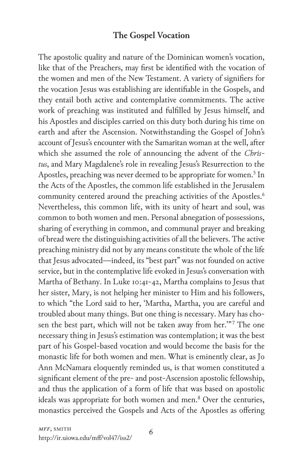## **The Gospel Vocation**

The apostolic quality and nature of the Dominican women's vocation, like that of the Preachers, may first be identified with the vocation of the women and men of the New Testament. A variety of signifiers for the vocation Jesus was establishing are identifiable in the Gospels, and they entail both active and contemplative commitments. The active work of preaching was instituted and fulfilled by Jesus himself, and his Apostles and disciples carried on this duty both during his time on earth and after the Ascension. Notwithstanding the Gospel of John's account of Jesus's encounter with the Samaritan woman at the well, after which she assumed the role of announcing the advent of the *Christus*, and Mary Magdalene's role in revealing Jesus's Resurrection to the Apostles, preaching was never deemed to be appropriate for women.<sup>5</sup> In the Acts of the Apostles, the common life established in the Jerusalem community centered around the preaching activities of the Apostles.<sup>6</sup> Nevertheless, this common life, with its unity of heart and soul, was common to both women and men. Personal abnegation of possessions, sharing of everything in common, and communal prayer and breaking of bread were the distinguishing activities of all the believers. The active preaching ministry did not by any means constitute the whole of the life that Jesus advocated—indeed, its "best part" was not founded on active service, but in the contemplative life evoked in Jesus's conversation with Martha of Bethany. In Luke 10:41-42, Martha complains to Jesus that her sister, Mary, is not helping her minister to Him and his followers, to which "the Lord said to her, 'Martha, Martha, you are careful and troubled about many things. But one thing is necessary. Mary has chosen the best part, which will not be taken away from her.""7 The one necessary thing in Jesus's estimation was contemplation; it was the best part of his Gospel-based vocation and would become the basis for the monastic life for both women and men. What is eminently clear, as Jo Ann McNamara eloquently reminded us, is that women constituted a significant element of the pre- and post-Ascension apostolic fellowship, and thus the application of a form of life that was based on apostolic ideals was appropriate for both women and men.<sup>8</sup> Over the centuries, monastics perceived the Gospels and Acts of the Apostles as offering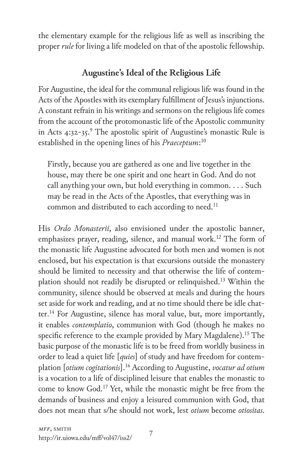the elementary example for the religious life as well as inscribing the proper *rule* for living a life modeled on that of the apostolic fellowship.

## **Augustine's Ideal of the Religious Life**

For Augustine, the ideal for the communal religious life was found in the Acts of the Apostles with its exemplary fulfillment of Jesus's injunctions. A constant refrain in his writings and sermons on the religious life comes from the account of the protomonastic life of the Apostolic community in Acts 4:32-35.<sup>9</sup> The apostolic spirit of Augustine's monastic Rule is established in the opening lines of his *Praeceptum*: 10

Firstly, because you are gathered as one and live together in the house, may there be one spirit and one heart in God. And do not call anything your own, but hold everything in common. . . . Such may be read in the Acts of the Apostles, that everything was in common and distributed to each according to need.<sup>11</sup>

His *Ordo Monasterii*, also envisioned under the apostolic banner, emphasizes prayer, reading, silence, and manual work.<sup>12</sup> The form of the monastic life Augustine advocated for both men and women is not enclosed, but his expectation is that excursions outside the monastery should be limited to necessity and that otherwise the life of contemplation should not readily be disrupted or relinquished.13 Within the community, silence should be observed at meals and during the hours set aside for work and reading, and at no time should there be idle chatter.<sup>14</sup> For Augustine, silence has moral value, but, more importantly, it enables *contemplatio*, communion with God (though he makes no specific reference to the example provided by Mary Magdalene).<sup>15</sup> The basic purpose of the monastic life is to be freed from worldly business in order to lead a quiet life [*quies*] of study and have freedom for contemplation [*otium cogitationis*].16 According to Augustine, *vocatur ad otium* is a vocation to a life of disciplined leisure that enables the monastic to come to know God.17 Yet, while the monastic might be free from the demands of business and enjoy a leisured communion with God, that does not mean that s/he should not work, lest *otium* become *otiositas*.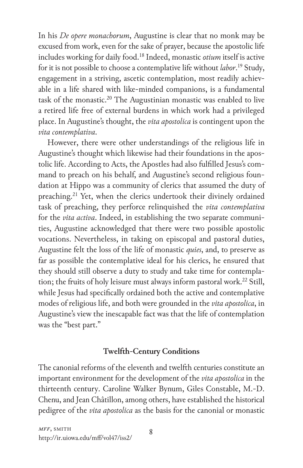In his *De opere monachorum*, Augustine is clear that no monk may be excused from work, even for the sake of prayer, because the apostolic life includes working for daily food.18 Indeed, monastic *otium* itself is active for it is not possible to choose a contemplative life without *labor*. 19 Study, engagement in a striving, ascetic contemplation, most readily achievable in a life shared with like-minded companions, is a fundamental task of the monastic.<sup>20</sup> The Augustinian monastic was enabled to live a retired life free of external burdens in which work had a privileged place. In Augustine's thought, the *vita apostolica* is contingent upon the *vita contemplativa*.

However, there were other understandings of the religious life in Augustine's thought which likewise had their foundations in the apostolic life. According to Acts, the Apostles had also fulfilled Jesus's command to preach on his behalf, and Augustine's second religious foundation at Hippo was a community of clerics that assumed the duty of preaching.<sup>21</sup> Yet, when the clerics undertook their divinely ordained task of preaching, they perforce relinquished the *vita contemplativa* for the *vita activa*. Indeed, in establishing the two separate communities, Augustine acknowledged that there were two possible apostolic vocations. Nevertheless, in taking on episcopal and pastoral duties, Augustine felt the loss of the life of monastic *quies*, and, to preserve as far as possible the contemplative ideal for his clerics, he ensured that they should still observe a duty to study and take time for contemplation; the fruits of holy leisure must always inform pastoral work.<sup>22</sup> Still, while Jesus had specifically ordained both the active and contemplative modes of religious life, and both were grounded in the *vita apostolica*, in Augustine's view the inescapable fact was that the life of contemplation was the "best part."

### **Twelfth-Century Conditions**

The canonial reforms of the eleventh and twelfth centuries constitute an important environment for the development of the *vita apostolica* in the thirteenth century. Caroline Walker Bynum, Giles Constable, M.-D. Chenu, and Jean Châtillon, among others, have established the historical pedigree of the *vita apostolica* as the basis for the canonial or monastic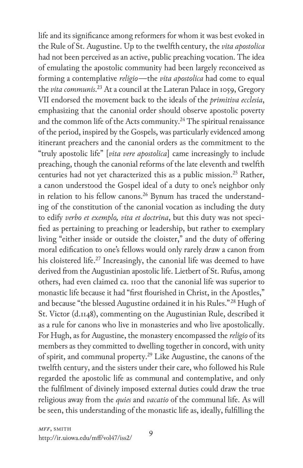life and its significance among reformers for whom it was best evoked in the Rule of St. Augustine. Up to the twelfth century, the *vita apostolica* had not been perceived as an active, public preaching vocation. The idea of emulating the apostolic community had been largely reconceived as forming a contemplative *religio*—the *vita apostolica* had come to equal the *vita communis*. <sup>23</sup> At a council at the Lateran Palace in 1059, Gregory VII endorsed the movement back to the ideals of the *primitiva ecclesia*, emphasizing that the canonial order should observe apostolic poverty and the common life of the Acts community.<sup>24</sup> The spiritual renaissance of the period, inspired by the Gospels, was particularly evidenced among itinerant preachers and the canonial orders as the commitment to the "truly apostolic life" [*vita vere apostolica*] came increasingly to include preaching, though the canonial reforms of the late eleventh and twelfth centuries had not yet characterized this as a public mission.<sup>25</sup> Rather, a canon understood the Gospel ideal of a duty to one's neighbor only in relation to his fellow canons.<sup>26</sup> Bynum has traced the understanding of the constitution of the canonial vocation as including the duty to edify *verbo et exemplo, vita et doctrina*, but this duty was not specified as pertaining to preaching or leadership, but rather to exemplary living "either inside or outside the cloister," and the duty of offering moral edification to one's fellows would only rarely draw a canon from his cloistered life.<sup>27</sup> Increasingly, the canonial life was deemed to have derived from the Augustinian apostolic life. Lietbert of St. Rufus, among others, had even claimed ca. 1100 that the canonial life was superior to monastic life because it had "first flourished in Christ, in the Apostles," and because "the blessed Augustine ordained it in his Rules."<sup>28</sup> Hugh of St. Victor (d.1148), commenting on the Augustinian Rule, described it as a rule for canons who live in monasteries and who live apostolically. For Hugh, as for Augustine, the monastery encompassed the *religio* of its members as they committed to dwelling together in concord, with unity of spirit, and communal property.29 Like Augustine, the canons of the twelfth century, and the sisters under their care, who followed his Rule regarded the apostolic life as communal and contemplative, and only the fulfilment of divinely imposed external duties could draw the true religious away from the *quies* and *vacatio* of the communal life. As will be seen, this understanding of the monastic life as, ideally, fulfilling the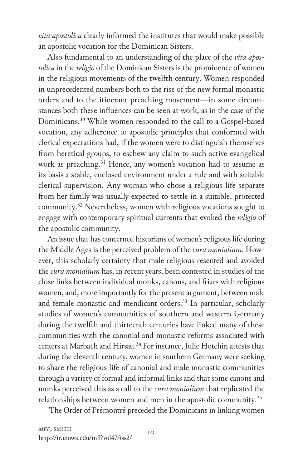*vita apostolica* clearly informed the institutes that would make possible an apostolic vocation for the Dominican Sisters.

Also fundamental to an understanding of the place of the *vita apostolica* in the *religio* of the Dominican Sisters is the prominence of women in the religious movements of the twelfth century. Women responded in unprecedented numbers both to the rise of the new formal monastic orders and to the itinerant preaching movement—in some circumstances both these influences can be seen at work, as in the case of the Dominicans.30 While women responded to the call to a Gospel-based vocation, any adherence to apostolic principles that conformed with clerical expectations had, if the women were to distinguish themselves from heretical groups, to eschew any claim to such active evangelical work as preaching. <sup>31</sup> Hence, any women's vocation had to assume as its basis a stable, enclosed environment under a rule and with suitable clerical supervision. Any woman who chose a religious life separate from her family was usually expected to settle in a suitable, protected community.32 Nevertheless, women with religious vocations sought to engage with contemporary spiritual currents that evoked the *religio* of the apostolic community.

An issue that has concerned historians of women's religious life during the Middle Ages is the perceived problem of the *cura monialium*. However, this scholarly certainty that male religious resented and avoided the *cura monialium* has, in recent years, been contested in studies of the close links between individual monks, canons, and friars with religious women, and, more importantly for the present argument, between male and female monastic and mendicant orders.<sup>33</sup> In particular, scholarly studies of women's communities of southern and western Germany during the twelfth and thirteenth centuries have linked many of these communities with the canonial and monastic reforms associated with centers at Marbach and Hirsau.<sup>34</sup> For instance, Julie Hotchin attests that during the eleventh century, women in southern Germany were seeking to share the religious life of canonial and male monastic communities through a variety of formal and informal links and that some canons and monks perceived this as a call to the *cura monialium* that replicated the relationships between women and men in the apostolic community.<sup>35</sup>

The Order of Prémontré preceded the Dominicans in linking women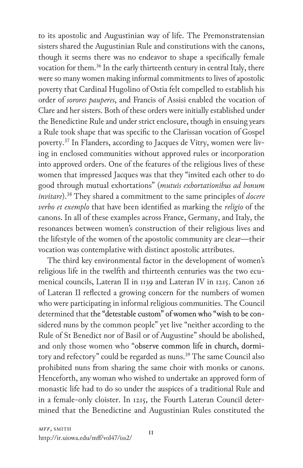to its apostolic and Augustinian way of life. The Premonstratensian sisters shared the Augustinian Rule and constitutions with the canons, though it seems there was no endeavor to shape a specifically female vocation for them.<sup>36</sup> In the early thirteenth century in central Italy, there were so many women making informal commitments to lives of apostolic poverty that Cardinal Hugolino of Ostia felt compelled to establish his order of *sorores pauperes*, and Francis of Assisi enabled the vocation of Clare and her sisters. Both of these orders were initially established under the Benedictine Rule and under strict enclosure, though in ensuing years a Rule took shape that was specific to the Clarissan vocation of Gospel poverty.37 In Flanders, according to Jacques de Vitry, women were living in enclosed communities without approved rules or incorporation into approved orders. One of the features of the religious lives of these women that impressed Jacques was that they "invited each other to do good through mutual exhortations" (*mutuis exhortationibus ad bonum invitare*).38 They shared a commitment to the same principles of *docere verbo et exemplo* that have been identified as marking the *religio* of the canons. In all of these examples across France, Germany, and Italy, the resonances between women's construction of their religious lives and the lifestyle of the women of the apostolic community are clear—their vocation was contemplative with distinct apostolic attributes.

The third key environmental factor in the development of women's religious life in the twelfth and thirteenth centuries was the two ecumenical councils, Lateran II in 1139 and Lateran IV in 1215. Canon 26 of Lateran II reflected a growing concern for the numbers of women who were participating in informal religious communities. The Council determined that the "detestable custom" of women who "wish to be considered nuns by the common people" yet live "neither according to the Rule of St Benedict nor of Basil or of Augustine" should be abolished, and only those women who "observe common life in church, dormitory and refectory" could be regarded as nuns. 39 The same Council also prohibited nuns from sharing the same choir with monks or canons. Henceforth, any woman who wished to undertake an approved form of monastic life had to do so under the auspices of a traditional Rule and in a female-only cloister. In 1215, the Fourth Lateran Council determined that the Benedictine and Augustinian Rules constituted the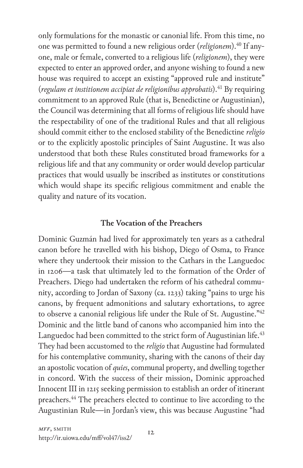only formulations for the monastic or canonial life. From this time, no one was permitted to found a new religious order (*religionem*).40 If anyone, male or female, converted to a religious life (*religionem*), they were expected to enter an approved order, and anyone wishing to found a new house was required to accept an existing "approved rule and institute" (*regulam et institionem accipiat de religionibus approbatis*).41 By requiring commitment to an approved Rule (that is, Benedictine or Augustinian), the Council was determining that all forms of religious life should have the respectability of one of the traditional Rules and that all religious should commit either to the enclosed stability of the Benedictine *religio* or to the explicitly apostolic principles of Saint Augustine. It was also understood that both these Rules constituted broad frameworks for a religious life and that any community or order would develop particular practices that would usually be inscribed as institutes or constitutions which would shape its specific religious commitment and enable the quality and nature of its vocation.

#### **The Vocation of the Preachers**

Dominic Guzmán had lived for approximately ten years as a cathedral canon before he travelled with his bishop, Diego of Osma, to France where they undertook their mission to the Cathars in the Languedoc in 1206—a task that ultimately led to the formation of the Order of Preachers. Diego had undertaken the reform of his cathedral community, according to Jordan of Saxony (ca. 1233) taking "pains to urge his canons, by frequent admonitions and salutary exhortations, to agree to observe a canonial religious life under the Rule of St. Augustine."<sup>42</sup> Dominic and the little band of canons who accompanied him into the Languedoc had been committed to the strict form of Augustinian life.<sup>43</sup> They had been accustomed to the *religio* that Augustine had formulated for his contemplative community, sharing with the canons of their day an apostolic vocation of *quies*, communal property, and dwelling together in concord. With the success of their mission, Dominic approached Innocent III in 1215 seeking permission to establish an order of itinerant preachers.<sup>44</sup> The preachers elected to continue to live according to the Augustinian Rule—in Jordan's view, this was because Augustine "had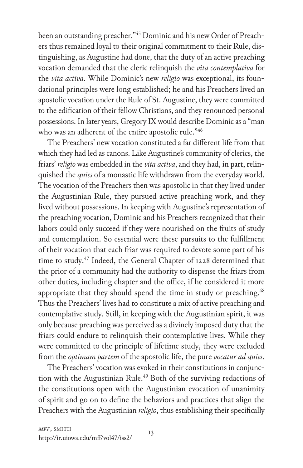been an outstanding preacher."45 Dominic and his new Order of Preachers thus remained loyal to their original commitment to their Rule, distinguishing, as Augustine had done, that the duty of an active preaching vocation demanded that the cleric relinquish the *vita contemplativa* for the *vita activa*. While Dominic's new *religio* was exceptional, its foundational principles were long established; he and his Preachers lived an apostolic vocation under the Rule of St. Augustine, they were committed to the edification of their fellow Christians, and they renounced personal possessions. In later years, Gregory IX would describe Dominic as a "man who was an adherent of the entire apostolic rule."46

The Preachers' new vocation constituted a far different life from that which they had led as canons. Like Augustine's community of clerics, the friars' *religio* was embedded in the *vita activa*, and they had, in part, relinquished the *quies* of a monastic life withdrawn from the everyday world. The vocation of the Preachers then was apostolic in that they lived under the Augustinian Rule, they pursued active preaching work, and they lived without possessions. In keeping with Augustine's representation of the preaching vocation, Dominic and his Preachers recognized that their labors could only succeed if they were nourished on the fruits of study and contemplation. So essential were these pursuits to the fulfillment of their vocation that each friar was required to devote some part of his time to study.<sup>47</sup> Indeed, the General Chapter of 1228 determined that the prior of a community had the authority to dispense the friars from other duties, including chapter and the office, if he considered it more appropriate that they should spend the time in study or preaching.<sup>48</sup> Thus the Preachers' lives had to constitute a mix of active preaching and contemplative study. Still, in keeping with the Augustinian spirit, it was only because preaching was perceived as a divinely imposed duty that the friars could endure to relinquish their contemplative lives. While they were committed to the principle of lifetime study, they were excluded from the *optimam partem* of the apostolic life, the pure *vocatur ad quies*.

The Preachers' vocation was evoked in their constitutions in conjunction with the Augustinian Rule.<sup>49</sup> Both of the surviving redactions of the constitutions open with the Augustinian evocation of unanimity of spirit and go on to define the behaviors and practices that align the Preachers with the Augustinian *religio*, thus establishing their specifically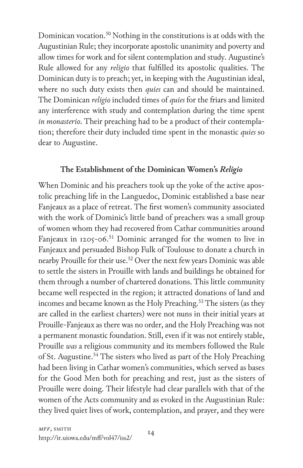Dominican vocation.<sup>50</sup> Nothing in the constitutions is at odds with the Augustinian Rule; they incorporate apostolic unanimity and poverty and allow times for work and for silent contemplation and study. Augustine's Rule allowed for any *religio* that fulfilled its apostolic qualities. The Dominican duty is to preach; yet, in keeping with the Augustinian ideal, where no such duty exists then *quies* can and should be maintained. The Dominican *religio* included times of *quies* for the friars and limited any interference with study and contemplation during the time spent *in monasterio*. Their preaching had to be a product of their contemplation; therefore their duty included time spent in the monastic *quies* so dear to Augustine.

#### **The Establishment of the Dominican Women's** *Religio*

When Dominic and his preachers took up the yoke of the active apostolic preaching life in the Languedoc, Dominic established a base near Fanjeaux as a place of retreat. The first women's community associated with the work of Dominic's little band of preachers was a small group of women whom they had recovered from Cathar communities around Fanjeaux in  $1205-06$ .<sup>51</sup> Dominic arranged for the women to live in Fanjeaux and persuaded Bishop Fulk of Toulouse to donate a church in nearby Prouille for their use.<sup>52</sup> Over the next few years Dominic was able to settle the sisters in Prouille with lands and buildings he obtained for them through a number of chartered donations. This little community became well respected in the region; it attracted donations of land and incomes and became known as the Holy Preaching.<sup>53</sup> The sisters (as they are called in the earliest charters) were not nuns in their initial years at Prouille-Fanjeaux as there was no order, and the Holy Preaching was not a permanent monastic foundation. Still, even if it was not entirely stable, Prouille *was* a religious community and its members followed the Rule of St. Augustine.<sup>54</sup> The sisters who lived as part of the Holy Preaching had been living in Cathar women's communities, which served as bases for the Good Men both for preaching and rest, just as the sisters of Prouille were doing. Their lifestyle had clear parallels with that of the women of the Acts community and as evoked in the Augustinian Rule: they lived quiet lives of work, contemplation, and prayer, and they were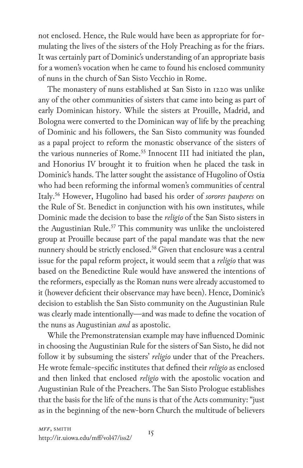not enclosed. Hence, the Rule would have been as appropriate for formulating the lives of the sisters of the Holy Preaching as for the friars. It was certainly part of Dominic's understanding of an appropriate basis for a women's vocation when he came to found his enclosed community of nuns in the church of San Sisto Vecchio in Rome.

The monastery of nuns established at San Sisto in 1220 was unlike any of the other communities of sisters that came into being as part of early Dominican history. While the sisters at Prouille, Madrid, and Bologna were converted to the Dominican way of life by the preaching of Dominic and his followers, the San Sisto community was founded as a papal project to reform the monastic observance of the sisters of the various nunneries of Rome.<sup>55</sup> Innocent III had initiated the plan, and Honorius IV brought it to fruition when he placed the task in Dominic's hands. The latter sought the assistance of Hugolino of Ostia who had been reforming the informal women's communities of central Italy.56 However, Hugolino had based his order of *sorores pauperes* on the Rule of St. Benedict in conjunction with his own institutes, while Dominic made the decision to base the *religio* of the San Sisto sisters in the Augustinian Rule.<sup>57</sup> This community was unlike the uncloistered group at Prouille because part of the papal mandate was that the new nunnery should be strictly enclosed.<sup>58</sup> Given that enclosure was a central issue for the papal reform project, it would seem that a *religio* that was based on the Benedictine Rule would have answered the intentions of the reformers, especially as the Roman nuns were already accustomed to it (however deficient their observance may have been). Hence, Dominic's decision to establish the San Sisto community on the Augustinian Rule was clearly made intentionally—and was made to define the vocation of the nuns as Augustinian *and* as apostolic.

While the Premonstratensian example may have influenced Dominic in choosing the Augustinian Rule for the sisters of San Sisto, he did not follow it by subsuming the sisters' *religio* under that of the Preachers. He wrote female-specific institutes that defined their *religio* as enclosed and then linked that enclosed *religio* with the apostolic vocation and Augustinian Rule of the Preachers. The San Sisto Prologue establishes that the basis for the life of the nuns is that of the Acts community: "just as in the beginning of the new-born Church the multitude of believers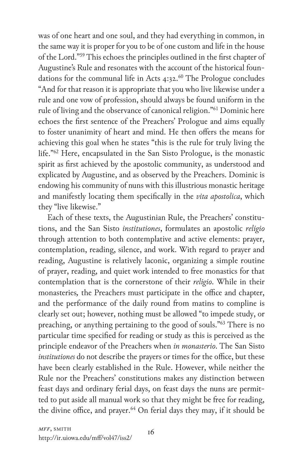was of one heart and one soul, and they had everything in common, in the same way it is proper for you to be of one custom and life in the house of the Lord."59 This echoes the principles outlined in the first chapter of Augustine's Rule and resonates with the account of the historical foundations for the communal life in Acts  $4:32.^{60}$  The Prologue concludes "And for that reason it is appropriate that you who live likewise under a rule and one vow of profession, should always be found uniform in the rule of living and the observance of canonical religion."61 Dominic here echoes the first sentence of the Preachers' Prologue and aims equally to foster unanimity of heart and mind. He then offers the means for achieving this goal when he states "this is the rule for truly living the life."62 Here, encapsulated in the San Sisto Prologue, is the monastic spirit as first achieved by the apostolic community, as understood and explicated by Augustine, and as observed by the Preachers. Dominic is endowing his community of nuns with this illustrious monastic heritage and manifestly locating them specifically in the *vita apostolica*, which they "live likewise."

Each of these texts, the Augustinian Rule, the Preachers' constitutions, and the San Sisto *institutiones*, formulates an apostolic *religio* through attention to both contemplative and active elements: prayer, contemplation, reading, silence, and work. With regard to prayer and reading, Augustine is relatively laconic, organizing a simple routine of prayer, reading, and quiet work intended to free monastics for that contemplation that is the cornerstone of their *religio*. While in their monasteries*,* the Preachers must participate in the office and chapter, and the performance of the daily round from matins to compline is clearly set out; however, nothing must be allowed "to impede study, or preaching, or anything pertaining to the good of souls."63 There is no particular time specified for reading or study as this is perceived as the principle endeavor of the Preachers when *in monasterio*. The San Sisto *institutiones* do not describe the prayers or times for the office, but these have been clearly established in the Rule. However, while neither the Rule nor the Preachers' constitutions makes any distinction between feast days and ordinary ferial days, on feast days the nuns are permitted to put aside all manual work so that they might be free for reading, the divine office, and prayer.<sup>64</sup> On ferial days they may, if it should be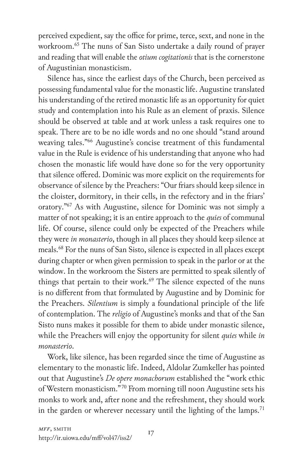perceived expedient, say the office for prime, terce, sext, and none in the workroom.65 The nuns of San Sisto undertake a daily round of prayer and reading that will enable the *otium cogitationis* that is the cornerstone of Augustinian monasticism.

Silence has, since the earliest days of the Church, been perceived as possessing fundamental value for the monastic life. Augustine translated his understanding of the retired monastic life as an opportunity for quiet study and contemplation into his Rule as an element of praxis. Silence should be observed at table and at work unless a task requires one to speak. There are to be no idle words and no one should "stand around weaving tales."66 Augustine's concise treatment of this fundamental value in the Rule is evidence of his understanding that anyone who had chosen the monastic life would have done so for the very opportunity that silence offered. Dominic was more explicit on the requirements for observance of silence by the Preachers: "Our friars should keep silence in the cloister, dormitory, in their cells, in the refectory and in the friars' oratory."67 As with Augustine, silence for Dominic was not simply a matter of not speaking; it is an entire approach to the *quies* of communal life. Of course, silence could only be expected of the Preachers while they were *in monasterio*, though in all places they should keep silence at meals.68 For the nuns of San Sisto, silence is expected in all places except during chapter or when given permission to speak in the parlor or at the window. In the workroom the Sisters are permitted to speak silently of things that pertain to their work.<sup>69</sup> The silence expected of the nuns is no different from that formulated by Augustine and by Dominic for the Preachers. *Silentium* is simply a foundational principle of the life of contemplation. The *religio* of Augustine's monks and that of the San Sisto nuns makes it possible for them to abide under monastic silence, while the Preachers will enjoy the opportunity for silent *quies* while *in monasterio*.

Work, like silence, has been regarded since the time of Augustine as elementary to the monastic life. Indeed, Aldolar Zumkeller has pointed out that Augustine's *De opere monachorum* established the "work ethic of Western monasticism." 70 From morning till noon Augustine sets his monks to work and, after none and the refreshment, they should work in the garden or wherever necessary until the lighting of the lamps.<sup>71</sup>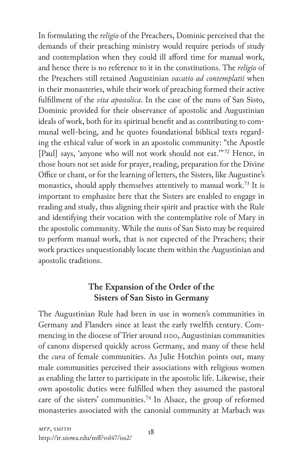In formulating the *religio* of the Preachers, Dominic perceived that the demands of their preaching ministry would require periods of study and contemplation when they could ill afford time for manual work, and hence there is no reference to it in the constitutions. The *religio* of the Preachers still retained Augustinian *vacatio ad contemplatii* when in their monasteries, while their work of preaching formed their active fulfillment of the *vita apostolica*. In the case of the nuns of San Sisto, Dominic provided for their observance of apostolic and Augustinian ideals of work, both for its spiritual benefit and as contributing to communal well-being, and he quotes foundational biblical texts regarding the ethical value of work in an apostolic community: "the Apostle [Paul] says, 'anyone who will not work should not eat."<sup>72</sup> Hence, in those hours not set aside for prayer, reading, preparation for the Divine Office or chant, or for the learning of letters, the Sisters, like Augustine's monastics, should apply themselves attentively to manual work.<sup>73</sup> It is important to emphasize here that the Sisters are enabled to engage in reading and study, thus aligning their spirit and practice with the Rule and identifying their vocation with the contemplative role of Mary in the apostolic community. While the nuns of San Sisto may be required to perform manual work, that is not expected of the Preachers; their work practices unquestionably locate them within the Augustinian and apostolic traditions.

## **The Expansion of the Order of the Sisters of San Sisto in Germany**

The Augustinian Rule had been in use in women's communities in Germany and Flanders since at least the early twelfth century. Commencing in the diocese of Trier around 1100, Augustinian communities of canons dispersed quickly across Germany, and many of these held the *cura* of female communities. As Julie Hotchin points out, many male communities perceived their associations with religious women as enabling the latter to participate in the apostolic life. Likewise, their own apostolic duties were fulfilled when they assumed the pastoral care of the sisters' communities.<sup>74</sup> In Alsace, the group of reformed monasteries associated with the canonial community at Marbach was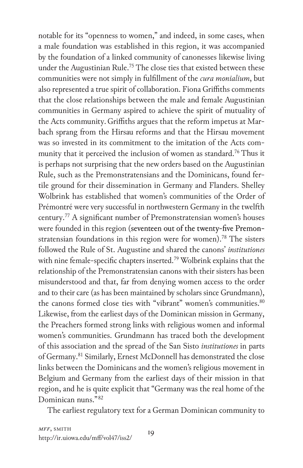notable for its "openness to women," and indeed, in some cases, when a male foundation was established in this region, it was accompanied by the foundation of a linked community of canonesses likewise living under the Augustinian Rule.<sup>75</sup> The close ties that existed between these communities were not simply in fulfillment of the *cura monialium*, but also represented a true spirit of collaboration. Fiona Griffiths comments that the close relationships between the male and female Augustinian communities in Germany aspired to achieve the spirit of mutuality of the Acts community.Griffiths argues that the reform impetus at Marbach sprang from the Hirsau reforms and that the Hirsau movement was so invested in its commitment to the imitation of the Acts community that it perceived the inclusion of women as standard.<sup>76</sup> Thus it is perhaps not surprising that the new orders based on the Augustinian Rule, such as the Premonstratensians and the Dominicans, found fertile ground for their dissemination in Germany and Flanders. Shelley Wolbrink has established that women's communities of the Order of Prémontré were very successful in northwestern Germany in the twelfth century.77 A significant number of Premonstratensian women's houses were founded in this region (seventeen out of the twenty-five Premonstratensian foundations in this region were for women). 78 The sisters followed the Rule of St. Augustine and shared the canons' *institutiones* with nine female-specific chapters inserted.<sup>79</sup> Wolbrink explains that the relationship of the Premonstratensian canons with their sisters has been misunderstood and that, far from denying women access to the order and to their care (as has been maintained by scholars since Grundmann), the canons formed close ties with "vibrant" women's communities.<sup>80</sup> Likewise, from the earliest days of the Dominican mission in Germany, the Preachers formed strong links with religious women and informal women's communities. Grundmann has traced both the development of this association and the spread of the San Sisto *institutiones* in parts of Germany.81 Similarly, Ernest McDonnell has demonstrated the close links between the Dominicans and the women's religious movement in Belgium and Germany from the earliest days of their mission in that region, and he is quite explicit that "Germany was the real home of the Dominican nuns." <sup>82</sup>

The earliest regulatory text for a German Dominican community to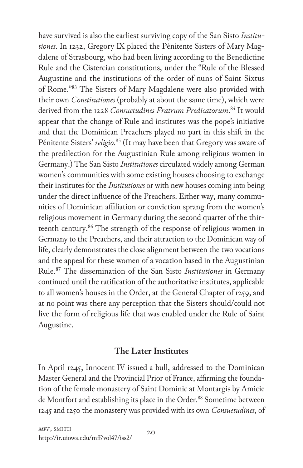have survived is also the earliest surviving copy of the San Sisto *Institutiones*. In 1232, Gregory IX placed the Pénitente Sisters of Mary Magdalene of Strasbourg, who had been living according to the Benedictine Rule and the Cistercian constitutions, under the "Rule of the Blessed Augustine and the institutions of the order of nuns of Saint Sixtus of Rome."83 The Sisters of Mary Magdalene were also provided with their own *Constitutiones* (probably at about the same time), which were derived from the 1228 *Consuetudines Fratrum Predicatorum*. 84 It would appear that the change of Rule and institutes was the pope's initiative and that the Dominican Preachers played no part in this shift in the Pénitente Sisters' *religio*. 85 (It may have been that Gregory was aware of the predilection for the Augustinian Rule among religious women in Germany.) The San Sisto *Institutiones* circulated widely among German women's communities with some existing houses choosing to exchange their institutes for the *Institutiones* or with new houses coming into being under the direct influence of the Preachers. Either way, many communities of Dominican affiliation or conviction sprang from the women's religious movement in Germany during the second quarter of the thirteenth century.<sup>86</sup> The strength of the response of religious women in Germany to the Preachers, and their attraction to the Dominican way of life, clearly demonstrates the close alignment between the two vocations and the appeal for these women of a vocation based in the Augustinian Rule.87 The dissemination of the San Sisto *Institutiones* in Germany continued until the ratification of the authoritative institutes, applicable to all women's houses in the Order, at the General Chapter of 1259, and at no point was there any perception that the Sisters should/could not live the form of religious life that was enabled under the Rule of Saint Augustine.

## **The Later Institutes**

In April 1245, Innocent IV issued a bull, addressed to the Dominican Master General and the Provincial Prior of France, affirming the foundation of the female monastery of Saint Dominic at Montargis by Amicie de Montfort and establishing its place in the Order.<sup>88</sup> Sometime between 1245 and 1250 the monastery was provided with its own *Consuetudines*, of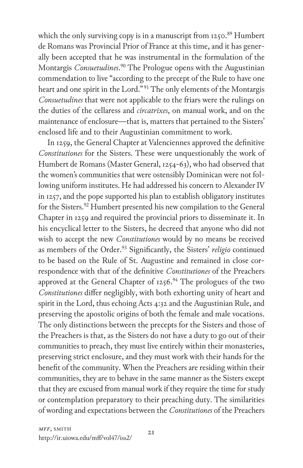which the only surviving copy is in a manuscript from 1250.89 Humbert de Romans was Provincial Prior of France at this time, and it has generally been accepted that he was instrumental in the formulation of the Montargis *Consuetudines*. 90 The Prologue opens with the Augustinian commendation to live "according to the precept of the Rule to have one heart and one spirit in the Lord."<sup>91</sup> The only elements of the Montargis *Consuetudines* that were not applicable to the friars were the rulings on the duties of the cellaress and *circatrixes*, on manual work, and on the maintenance of enclosure—that is, matters that pertained to the Sisters' enclosed life and to their Augustinian commitment to work.

In 1259, the General Chapter at Valenciennes approved the definitive *Constitutiones* for the Sisters. These were unquestionably the work of Humbert de Romans (Master General, 1254-63), who had observed that the women's communities that were ostensibly Dominican were not following uniform institutes. He had addressed his concern to Alexander IV in 1257, and the pope supported his plan to establish obligatory institutes for the Sisters.<sup>92</sup> Humbert presented his new compilation to the General Chapter in 1259 and required the provincial priors to disseminate it. In his encyclical letter to the Sisters, he decreed that anyone who did not wish to accept the new *Constitutiones* would by no means be received as members of the Order.93 Significantly, the Sisters' *religio* continued to be based on the Rule of St. Augustine and remained in close correspondence with that of the definitive *Constitutiones* of the Preachers approved at the General Chapter of  $1256.^{94}$  The prologues of the two *Constitutiones* differ negligibly, with both exhorting unity of heart and spirit in the Lord, thus echoing Acts 4:32 and the Augustinian Rule, and preserving the apostolic origins of both the female and male vocations. The only distinctions between the precepts for the Sisters and those of the Preachers is that, as the Sisters do not have a duty to go out of their communities to preach, they must live entirely within their monasteries, preserving strict enclosure, and they must work with their hands for the benefit of the community. When the Preachers are residing within their communities, they are to behave in the same manner as the Sisters except that they are excused from manual work if they require the time for study or contemplation preparatory to their preaching duty. The similarities of wording and expectations between the *Constitutiones* of the Preachers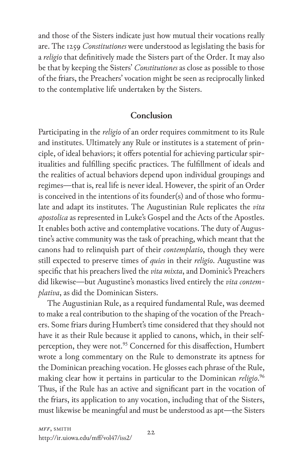and those of the Sisters indicate just how mutual their vocations really are. The 1259 *Constitutiones* were understood as legislating the basis for a *religio* that definitively made the Sisters part of the Order. It may also be that by keeping the Sisters' *Constitutiones* as close as possible to those of the friars, the Preachers' vocation might be seen as reciprocally linked to the contemplative life undertaken by the Sisters.

#### **Conclusion**

Participating in the *religio* of an order requires commitment to its Rule and institutes. Ultimately any Rule or institutes is a statement of principle, of ideal behaviors; it offers potential for achieving particular spiritualities and fulfilling specific practices. The fulfillment of ideals and the realities of actual behaviors depend upon individual groupings and regimes—that is, real life is never ideal. However, the spirit of an Order is conceived in the intentions of its founder(s) and of those who formulate and adapt its institutes. The Augustinian Rule replicates the *vita apostolica* as represented in Luke's Gospel and the Acts of the Apostles. It enables both active and contemplative vocations. The duty of Augustine's active community was the task of preaching, which meant that the canons had to relinquish part of their *contemplatio*, though they were still expected to preserve times of *quies* in their *religio*. Augustine was specific that his preachers lived the *vita mixta*, and Dominic's Preachers did likewise—but Augustine's monastics lived entirely the *vita contemplativa*, as did the Dominican Sisters.

The Augustinian Rule, as a required fundamental Rule, was deemed to make a real contribution to the shaping of the vocation of the Preachers. Some friars during Humbert's time considered that they should not have it as their Rule because it applied to canons, which, in their selfperception, they were not.<sup>95</sup> Concerned for this disaffection, Humbert wrote a long commentary on the Rule to demonstrate its aptness for the Dominican preaching vocation. He glosses each phrase of the Rule, making clear how it pertains in particular to the Dominican *religio*. 96 Thus, if the Rule has an active and significant part in the vocation of the friars, its application to any vocation, including that of the Sisters, must likewise be meaningful and must be understood as apt—the Sisters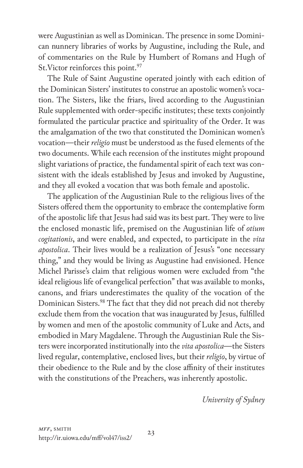were Augustinian as well as Dominican. The presence in some Dominican nunnery libraries of works by Augustine, including the Rule, and of commentaries on the Rule by Humbert of Romans and Hugh of St. Victor reinforces this point.<sup>97</sup>

The Rule of Saint Augustine operated jointly with each edition of the Dominican Sisters' institutes to construe an apostolic women's vocation. The Sisters, like the friars, lived according to the Augustinian Rule supplemented with order-specific institutes; these texts conjointly formulated the particular practice and spirituality of the Order. It was the amalgamation of the two that constituted the Dominican women's vocation—their *religio* must be understood as the fused elements of the two documents. While each recension of the institutes might propound slight variations of practice, the fundamental spirit of each text was consistent with the ideals established by Jesus and invoked by Augustine, and they all evoked a vocation that was both female and apostolic.

The application of the Augustinian Rule to the religious lives of the Sisters offered them the opportunity to embrace the contemplative form of the apostolic life that Jesus had said was its best part. They were to live the enclosed monastic life, premised on the Augustinian life of *otium cogitationis*, and were enabled, and expected, to participate in the *vita apostolica*. Their lives would be a realization of Jesus's "one necessary thing," and they would be living as Augustine had envisioned. Hence Michel Parisse's claim that religious women were excluded from "the ideal religious life of evangelical perfection" that was available to monks, canons, and friars underestimates the quality of the vocation of the Dominican Sisters.<sup>98</sup> The fact that they did not preach did not thereby exclude them from the vocation that was inaugurated by Jesus, fulfilled by women and men of the apostolic community of Luke and Acts, and embodied in Mary Magdalene. Through the Augustinian Rule the Sisters were incorporated institutionally into the *vita apostolica*—the Sisters lived regular, contemplative, enclosed lives, but their *religio*, by virtue of their obedience to the Rule and by the close affinity of their institutes with the constitutions of the Preachers, was inherently apostolic.

*University of Sydney*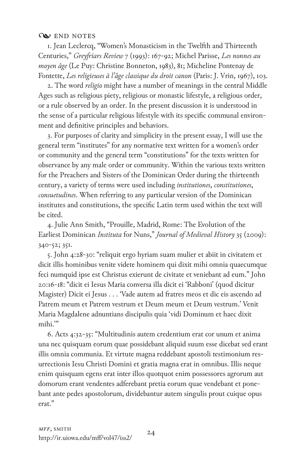#### **Q** END NOTES

1. Jean Leclercq, "Women's Monasticism in the Twelfth and Thirteenth Centuries," *Greyfriars Review* 7 (1993): 167-92; Michel Parisse, *Les nonnes au moyen âge* (Le Puy: Christine Bonneton, 1983), 81; Micheline Pontenay de Fontette, *Les religieuses à l'âge classique du droit canon* (Paris: J. Vrin, 1967), 103.

2. The word *religio* might have a number of meanings in the central Middle Ages such as religious piety, religious or monastic lifestyle, a religious order, or a rule observed by an order. In the present discussion it is understood in the sense of a particular religious lifestyle with its specific communal environment and definitive principles and behaviors.

3. For purposes of clarity and simplicity in the present essay, I will use the general term "institutes" for any normative text written for a women's order or community and the general term "constitutions" for the texts written for observance by any male order or community. Within the various texts written for the Preachers and Sisters of the Dominican Order during the thirteenth century, a variety of terms were used including *institutiones*, *constitutiones*, *consuetudines*. When referring to any particular version of the Dominican institutes and constitutions, the specific Latin term used within the text will be cited.

4. Julie Ann Smith, "Prouille, Madrid, Rome: The Evolution of the Earliest Dominican *Instituta* for Nuns," *Journal of Medieval History* 35 (2009): 340-52; 351.

5. John 4:28-30: "reliquit ergo hyriam suam mulier et abiit in civitatem et dicit illis hominibus venite videte hominem qui dixit mihi omnia quaecumque feci numquid ipse est Christus exierunt de civitate et veniebant ad eum." John 20:16-18: "dicit ei Iesus Maria conversa illa dicit ei 'Rabboni' (quod dicitur Magister) Dicit ei Jesus . . . 'Vade autem ad fratres meos et dic eis ascendo ad Patrem meum et Patrem vestrum et Deum meum et Deum vestrum.' Venit Maria Magdalene adnuntians discipulis quia 'vidi Dominum et haec dixit mihi."

6. Acts 4:32-35: "Multitudinis autem credentium erat cor unum et anima una nec quisquam eorum quae possidebant aliquid suum esse dicebat sed erant illis omnia communia. Et virtute magna reddebant apostoli testimonium resurrectionis Iesu Christi Domini et gratia magna erat in omnibus. Illis neque enim quisquam egens erat inter illos quotquot enim possessores agrorum aut domorum erant vendentes adferebant pretia eorum quae vendebant et ponebant ante pedes apostolorum, dividebantur autem singulis prout cuique opus erat."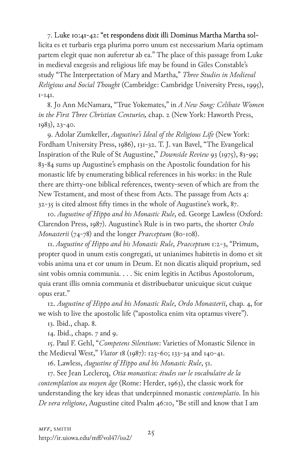7. Luke 10:41-42: "et respondens dixit illi Dominus Martha Martha sollicita es et turbaris erga plurima porro unum est necessarium Maria optimam partem elegit quae non auferetur ab ea." The place of this passage from Luke in medieval exegesis and religious life may be found in Giles Constable's study "The Interpretation of Mary and Martha," *Three Studies in Medieval Religious and Social Thought* (Cambridge: Cambridge University Press, 1995), 1-141.

8. Jo Ann McNamara, "True Yokemates," in *A New Song: Celibate Women in the First Three Christian Centuries,* chap. 2 (New York: Haworth Press, 1983), 23-40.

9. Adolar Zumkeller, *Augustine's Ideal of the Religious Life* (New York: Fordham University Press, 1986), 131-32. T. J. van Bavel, "The Evangelical Inspiration of the Rule of St Augustine," *Downside Review* 93 (1975), 83-99; 83-84 sums up Augustine's emphasis on the Apostolic foundation for his monastic life by enumerating biblical references in his works: in the Rule there are thirty-one biblical references, twenty-seven of which are from the New Testament, and most of these from Acts. The passage from Acts 4: 32-35 is cited almost fifty times in the whole of Augustine's work, 87.

10. *Augustine of Hippo and his Monastic Rule*, ed. George Lawless (Oxford: Clarendon Press, 1987). Augustine's Rule is in two parts, the shorter *Ordo Monasterii* (74-78) and the longer *Praeceptum* (80-108).

11. *Augustine of Hippo and his Monastic Rule*, *Praeceptum* 1:2-3, "Primum, propter quod in unum estis congregati, ut unianimes habitetis in domo et sit vobis anima una et cor unum in Deum. Et non dicatis aliquid proprium, sed sint vobis omnia communia. . . . Sic enim legitis in Actibus Apostolorum, quia erant illis omnia communia et distribuebatur unicuique sicut cuique opus erat."

12. *Augustine of Hippo and his Monastic Rule*, *Ordo Monasterii*, chap. 4, for we wish to live the apostolic life ("apostolica enim vita optamus vivere").

13. Ibid., chap. 8.

14. Ibid., chaps. 7 and 9.

15. Paul F. Gehl, "*Competens Silentium*: Varieties of Monastic Silence in the Medieval West," *Viator* 18 (1987): 125-60; 133-34 and 140-41.

16. Lawless, *Augustine of Hippo and his Monastic Rule*, 51.

17. See Jean Leclercq, *Otia monastica: études sur le vocabulaire de la contemplation au moyen âge* (Rome: Herder, 1963), the classic work for understanding the key ideas that underpinned monastic *contemplatio*. In his *De vera religione*, Augustine cited Psalm 46:10, "Be still and know that I am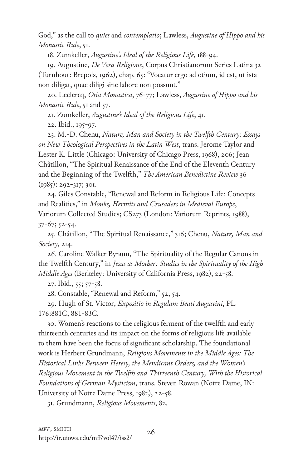God," as the call to *quies* and *contemplatio*; Lawless, *Augustine of Hippo and his Monastic Rule*, 51.

18. Zumkeller, *Augustine's Ideal of the Religious Life*, 188-94.

19. Augustine, *De Vera Religione*, Corpus Christianorum Series Latina 32 (Turnhout: Brepols, 1962), chap. 65: "Vocatur ergo ad otium, id est, ut ista non diligat, quae diligi sine labore non possunt."

20. Leclercq, *Otia Monastica*, 76-77; Lawless, *Augustine of Hippo and his Monastic Rule*, 51 and 57.

21. Zumkeller, *Augustine's Ideal of the Religious Life*, 41.

22. Ibid., 195-97.

23. M.-D. Chenu, *Nature, Man and Society in the Twelfth Century: Essays on New Theological Perspectives in the Latin West*, trans. Jerome Taylor and Lester K. Little (Chicago: University of Chicago Press, 1968), 206; Jean Châtillon, "The Spiritual Renaissance of the End of the Eleventh Century and the Beginning of the Twelfth," *The American Benedictine Review* 36 (1985): 292-317; 301.

24. Giles Constable, "Renewal and Reform in Religious Life: Concepts and Realities," in *Monks, Hermits and Crusaders in Medieval Europe*, Variorum Collected Studies; CS273 (London: Variorum Reprints, 1988), 37-67; 52-54.

25. Châtillon, "The Spiritual Renaissance," 316; Chenu, *Nature, Man and Society*, 214.

26. Caroline Walker Bynum, "The Spirituality of the Regular Canons in the Twelfth Century," in *Jesus as Mother: Studies in the Spirituality of the High Middle Ages* (Berkeley: University of California Press, 1982), 22-58.

27. Ibid., 55; 57-58.

28. Constable, "Renewal and Reform," 52, 54.

29. Hugh of St. Victor, *Expositio in Regulam Beati Augustini*, PL 176:881C; 881-83C.

30. Women's reactions to the religious ferment of the twelfth and early thirteenth centuries and its impact on the forms of religious life available to them have been the focus of significant scholarship. The foundational work is Herbert Grundmann, *Religious Movements in the Middle Ages: The Historical Links Between Heresy, the Mendicant Orders, and the Women's Religious Movement in the Twelfth and Thirteenth Century, With the Historical Foundations of German Mysticism*, trans. Steven Rowan (Notre Dame, IN: University of Notre Dame Press, 1982), 22-58.

31. Grundmann, *Religious Movements*, 82.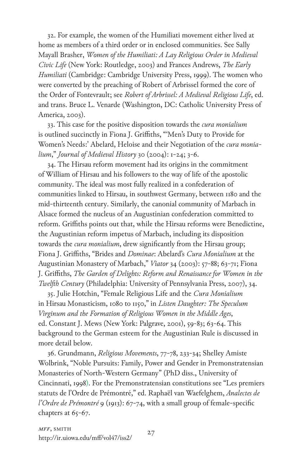32. For example, the women of the Humiliati movement either lived at home as members of a third order or in enclosed communities. See Sally Mayall Brasher, *Women of the Humiliati: A Lay Religious Order in Medieval Civic Life* (New York: Routledge, 2003) and Frances Andrews, *The Early Humiliati* (Cambridge: Cambridge University Press, 1999). The women who were converted by the preaching of Robert of Arbrissel formed the core of the Order of Fontevrault; see *Robert of Arbrissel: A Medieval Religious Life*, ed. and trans. Bruce L. Venarde (Washington, DC: Catholic University Press of America, 2003).

33. This case for the positive disposition towards the *cura monialium* is outlined succinctly in Fiona J. Griffiths, "'Men's Duty to Provide for Women's Needs:' Abelard, Heloise and their Negotiation of the *cura monialium*," *Journal of Medieval History* 30 (2004): 1-24; 3-6.

34. The Hirsau reform movement had its origins in the commitment of William of Hirsau and his followers to the way of life of the apostolic community. The ideal was most fully realized in a confederation of communities linked to Hirsau, in southwest Germany, between 1180 and the mid-thirteenth century. Similarly, the canonial community of Marbach in Alsace formed the nucleus of an Augustinian confederation committed to reform. Griffiths points out that, while the Hirsau reforms were Benedictine, the Augustinian reform impetus of Marbach, including its disposition towards the *cura monialium*, drew significantly from the Hirsau group; Fiona J. Griffiths, "Brides and *Dominae*: Abelard's *Cura Monialium* at the Augustinian Monastery of Marbach," *Viator* 34 (2003): 57-88; 63-71; Fiona J. Griffiths, *The Garden of Delights: Reform and Renaissance for Women in the Twelfth Century* (Philadelphia: University of Pennsylvania Press, 2007), 34.

35. Julie Hotchin, "Female Religious Life and the *Cura Monialium* in Hirsau Monasticism, 1080 to 1150," in *Listen Daughter: The Speculum Virginum and the Formation of Religious Women in the Middle Ages*, ed. Constant J. Mews (New York: Palgrave, 2001), 59-83; 63-64. This background to the German esteem for the Augustinian Rule is discussed in more detail below.

36. Grundmann, *Religious Movements*, 77-78, 233-34; Shelley Amiste Wolbrink, "Noble Pursuits: Family, Power and Gender in Premonstratensian Monasteries of North-Western Germany" (PhD diss., University of Cincinnati, 1998). For the Premonstratensian constitutions see "Les premiers statuts de l'Ordre de Prémontré," ed. Raphaël van Waefelghem, *Analectes de l'Ordre de Prémontré* 9 (1913): 67-74, with a small group of female-specific chapters at 65-67.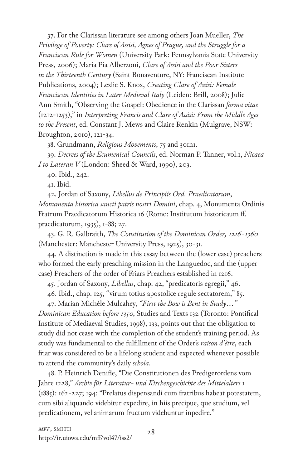37. For the Clarissan literature see among others Joan Mueller, *The Privilege of Poverty: Clare of Assisi, Agnes of Prague, and the Struggle for a Franciscan Rule for Women* (University Park: Pennsylvania State University Press, 2006); Maria Pia Alberzoni, *Clare of Assisi and the Poor Sisters in the Thirteenth Century* (Saint Bonaventure, NY: Franciscan Institute Publications, 2004); Lezlie S. Knox, *Creating Clare of Assisi: Female Franciscan Identities in Later Medieval Italy* (Leiden: Brill, 2008); Julie Ann Smith, "Observing the Gospel: Obedience in the Clarissan *forma vitae* (1212-1253)," in *Interpreting Francis and Clare of Assisi: From the Middle Ages to the Present*, ed. Constant J. Mews and Claire Renkin (Mulgrave, NSW: Broughton, 2010), 121-34.

38. Grundmann, *Religious Movements*, 75 and 301n1.

39. *Decrees of the Ecumenical Councils*, ed. Norman P. Tanner, vol.1, *Nicaea I to Lateran V* (London: Sheed & Ward, 1990), 203.

40. Ibid., 242.

41. Ibid.

42. Jordan of Saxony, *Libellus de Principiis Ord. Praedicatorum*, *Monumenta historica sancti patris nostri Domini*, chap. 4, Monumenta Ordinis Fratrum Praedicatorum Historica 16 (Rome: Institutum historicaum ff. praedicatorum, 1935), 1-88; 27.

43. G. R. Galbraith, *The Constitution of the Dominican Order, 1216-1360* (Manchester: Manchester University Press, 1925), 30-31.

44. A distinction is made in this essay between the (lower case) preachers who formed the early preaching mission in the Languedoc, and the (upper case) Preachers of the order of Friars Preachers established in 1216.

45. Jordan of Saxony, *Libellus*, chap. 42, "predicatoris egregii," 46.

46. Ibid., chap. 125, "virum totius apostolice regule sectatorem," 85.

47. Marian Michèle Mulcahey, *"First the Bow is Bent in Study …"* 

*Dominican Education before 1350*, Studies and Texts 132 (Toronto: Pontifical Institute of Mediaeval Studies, 1998), 133, points out that the obligation to study did not cease with the completion of the student's training period. As study was fundamental to the fulfillment of the Order's *raison d'être*, each friar was considered to be a lifelong student and expected whenever possible to attend the community's daily *schola*.

48. P. Heinrich Denifle, "Die Constitutionen des Predigerordens vom Jahre 1228," *Archiv für Literatur- und Kirchengeschichte des Mittelalters* 1 (1885): 162-227; 194: "Prelatus dispensandi cum fratribus habeat potestatem, cum sibi aliquando videbitur expedire, in hiis precipue, que studium, vel predicationem, vel animarum fructum videbuntur inpedire."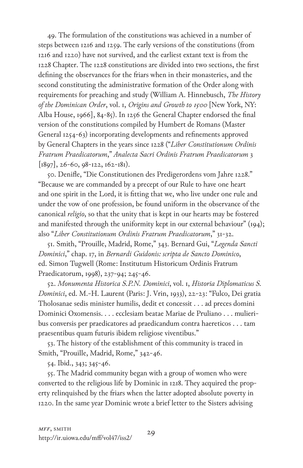49. The formulation of the constitutions was achieved in a number of steps between 1216 and 1259. The early versions of the constitutions (from 1216 and 1220) have not survived, and the earliest extant text is from the 1228 Chapter. The 1228 constitutions are divided into two sections, the first defining the observances for the friars when in their monasteries, and the second constituting the administrative formation of the Order along with requirements for preaching and study (William A. Hinnebusch, *The History of the Dominican Order*, vol. 1, *Origins and Growth to 1500* [New York, NY: Alba House, 1966], 84-85). In 1256 the General Chapter endorsed the final version of the constitutions compiled by Humbert de Romans (Master General 1254-63) incorporating developments and refinements approved by General Chapters in the years since 1228 ("*Liber Constitutionum Ordinis Fratrum Praedicatorum*," *Analecta Sacri Ordinis Fratrum Praedicatorum* 3  $[1897], 26-60, 98-122, 162-181).$ 

50. Denifle, "Die Constitutionen des Predigerordens vom Jahre 1228." "Because we are commanded by a precept of our Rule to have one heart and one spirit in the Lord, it is fitting that we, who live under one rule and under the vow of one profession, be found uniform in the observance of the canonical *religio*, so that the unity that is kept in our hearts may be fostered and manifested through the uniformity kept in our external behaviour" (194); also "*Liber Constitutionum Ordinis Fratrum Praedicatorum*," 31-32.

51. Smith, "Prouille, Madrid, Rome," 343. Bernard Gui, "*Legenda Sancti Dominici*," chap. 17, in *Bernardi Guidonis: scripta de Sancto Dominico*, ed. Simon Tugwell (Rome: Institutum Historicum Ordinis Fratrum Praedicatorum, 1998), 237-94; 245-46.

52. *Monumenta Historica S.P.N. Dominici*, vol. 1, *Historia Diplomaticus S. Dominici*, ed. M.-H. Laurent (Paris: J. Vrin, 1933), 22-23: "Fulco, Dei gratia Tholosanae sedis minister humilis, dedit et concessit . . . ad preces domini Dominici Oxomensis. . . . ecclesiam beatae Mariae de Pruliano . . . mulieribus conversis per praedicatores ad praedicandum contra haereticos . . . tam praesentibus quam futuris ibidem religiose viventibus."

53. The history of the establishment of this community is traced in Smith, "Prouille, Madrid, Rome," 342-46.

54. Ibid., 343; 345-46.

55. The Madrid community began with a group of women who were converted to the religious life by Dominic in 1218. They acquired the property relinquished by the friars when the latter adopted absolute poverty in 1220. In the same year Dominic wrote a brief letter to the Sisters advising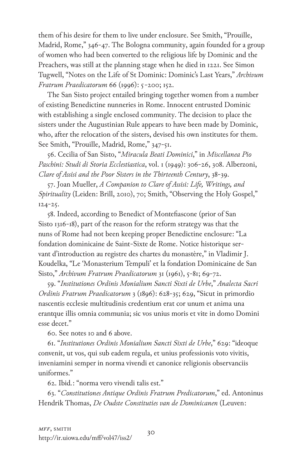them of his desire for them to live under enclosure. See Smith, "Prouille, Madrid, Rome," 346-47. The Bologna community, again founded for a group of women who had been converted to the religious life by Dominic and the Preachers, was still at the planning stage when he died in 1221. See Simon Tugwell, "Notes on the Life of St Dominic: Dominic's Last Years," *Archivum Fratrum Praedicatorum* 66 (1996): 5-200; 152.

The San Sisto project entailed bringing together women from a number of existing Benedictine nunneries in Rome. Innocent entrusted Dominic with establishing a single enclosed community. The decision to place the sisters under the Augustinian Rule appears to have been made by Dominic, who, after the relocation of the sisters, devised his own institutes for them. See Smith, "Prouille, Madrid, Rome," 347-51.

56. Cecilia of San Sisto, "*Miracula Beati Dominici*," in *Miscellanea Pio Paschini: Studi di Storia Ecclestiastica*, vol. 1 (1949): 306-26, 308. Alberzoni, *Clare of Assisi and the Poor Sisters in the Thirteenth Century*, 38-39.

57. Joan Mueller, *A Companion to Clare of Assisi: Life, Writings, and Spirituality* (Leiden: Brill, 2010), 70; Smith, "Observing the Holy Gospel," 124-25.

58. Indeed, according to Benedict of Montefiascone (prior of San Sisto 1316-18), part of the reason for the reform strategy was that the nuns of Rome had not been keeping proper Benedictine enclosure: "La fondation dominicaine de Saint-Sixte de Rome. Notice historique servant d'introduction au registre des chartes du monastère," in Vladimir J. Koudelka, "Le 'Monasterium Tempuli' et la fondation Dominicaine de San Sisto," *Archivum Fratrum Praedicatorum* 31 (1961), 5-81; 69-72.

59. "*Institutiones Ordinis Monialium Sancti Sixti de Urbe*," *Analecta Sacri Ordinis Fratrum Praedicatorum* 3 (1896): 628-35; 629, "Sicut in primordio nascentis ecclesie multitudinis credentium erat cor unum et anima una erantque illis omnia communia; sic vos unius moris et vite in domo Domini esse decet."

60. See notes 10 and 6 above.

61. "*Institutiones Ordinis Monialium Sancti Sixti de Urbe*," 629: "ideoque convenit, ut vos, qui sub eadem regula, et unius professionis voto vivitis, inveniamini semper in norma vivendi et canonice religionis observanciis uniformes."

62. Ibid*.*: "norma vero vivendi talis est."

63. "*Constitutiones Antique Ordinis Fratrum Predicatorum*," ed. Antoninus Hendrik Thomas, *De Oudste Constituties van de Dominicanen* (Leuven: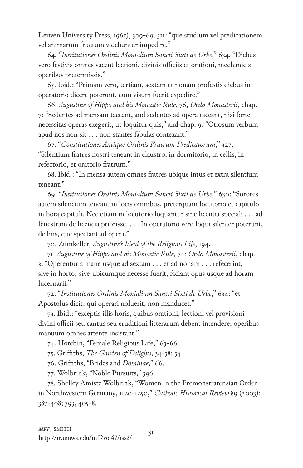Leuven University Press, 1965), 309-69. 311: "que studium vel predicationem vel animarum fructum videbuntur impedire."

64. *"Institutiones Ordinis Monialium Sancti Sixti de Urbe*," 634, "Diebus vero festivis omnes vacent lectioni, divinis officiis et orationi, mechanicis operibus pretermissis."

65. Ibid.: "Primam vero, tertiam, sextam et nonam profestis diebus in operatorio dicere poterunt, cum visum fuerit expedire."

66. *Augustine of Hippo and his Monastic Rule*, 76, *Ordo Monasterii*, chap. 7: "Sedentes ad mensam taceant, and sedentes ad opera taceant, nisi forte necessitas operas exegerit, ut loquitur quis," and chap. 9: "Otiosum verbum apud nos non sit . . . non stantes fabulas contexant."

67. "*Constitutiones Antique Ordinis Fratrum Predicatorum*," 327, "Silentium fratres nostri teneant in claustro, in dormitorio, in cellis, in refectorio, et oratorio fratrum."

68. Ibid.: "In mensa autem omnes fratres ubique intus et extra silentium teneant."

69. *"Institutiones Ordinis Monialium Sancti Sixti de Urbe*," 630: "Sorores autem silencium teneant in locis omnibus, preterquam locutorio et capitulo in hora capituli. Nec etiam in locutorio loquantur sine licentia speciali . . . ad fenestram de licencia priorisse. . . . In operatorio vero loqui silenter poterunt, de hiis, que spectant ad opera."

70. Zumkeller, *Augustine's Ideal of the Religious Life*, 194. 71. *Augustine of Hippo and his Monastic Rule*, 74: *Ordo Monasterii*, chap. 3, "Operentur a mane usque ad sextam . . . et ad nonam . . . refecerint, sive in horto, sive ubicumque necesse fuerit, faciant opus usque ad horam lucernarii."

72. "*Institutiones Ordinis Monialium Sancti Sixti de Urbe*," 634: "et Apostolus dicit: qui operari noluerit, non manducet."

73. Ibid.: "exceptis illis horis, quibus orationi, lectioni vel provisioni divini officii seu cantus seu eruditioni litterarum debent intendere, operibus manuum omnes attente insistant."

74. Hotchin, "Female Religious Life," 63-66.

75. Griffiths, *The Garden of Delights*, 34-38: 34.

76. Griffiths, "Brides and *Dominae*," 66.

77. Wolbrink, "Noble Pursuits," 396.

78. Shelley Amiste Wolbrink, "Women in the Premonstratensian Order in Northwestern Germany, 1120-1250," *Catholic Historical Review* 89 (2003): 387-408; 393, 405-8.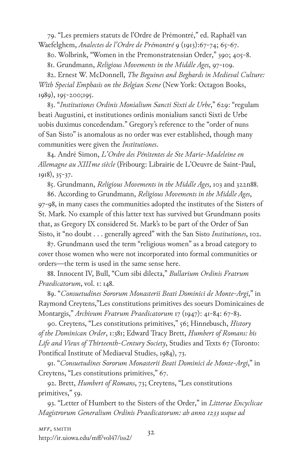79. "Les premiers statuts de l'Ordre de Prémontré," ed. Raphaël van Waefelghem, *Analectes de l'Ordre de Prémontré* 9 (1913):67-74; 65-67.

80. Wolbrink, "Women in the Premonstratensian Order," 390; 405-8.

81. Grundmann, *Religious Movements in the Middle Ages*, 97-109.

82. Ernest W. McDonnell, *The Beguines and Beghards in Medieval Culture: With Special Emphasis on the Belgian Scene* (New York: Octagon Books, 1989), 195-200;195.

83. "*Institutiones Ordinis Monialium Sancti Sixti de Urbe*," 629: "regulam beati Augustini, et institutiones ordinis monialium sancti Sixti de Urbe uobis duximus concedendam." Gregory's reference to the "order of nuns of San Sisto" is anomalous as no order was ever established, though many communities were given the *Institutiones*.

84. André Simon, *L'Ordre des Pénitentes de Ste Marie-Madeleine en Allemagne au XIIIme siècle* (Fribourg: Librairie de L'Oeuvre de Saint-Paul, 1918), 35-37.

85. Grundmann, *Religious Movements in the Middle Ages*, 103 and 322n88.

86. According to Grundmann, *Religious Movements in the Middle Ages*, 97-98, in many cases the communities adopted the institutes of the Sisters of St. Mark. No example of this latter text has survived but Grundmann posits that, as Gregory IX considered St. Mark's to be part of the Order of San Sisto, it "no doubt . . . generally agreed" with the San Sisto *Institutiones*, 102.

87. Grundmann used the term "religious women" as a broad category to cover those women who were not incorporated into formal communities or orders—the term is used in the same sense here.

88. Innocent IV, Bull, "Cum sibi dilecta," *Bullarium Ordinis Fratrum Praedicatorum*, vol. 1: 148.

89. "*Consuetudines Sororum Monasterii Beati Dominici de Monte-Argi*," in Raymond Creytens,"Les constitutions primitives des soeurs Dominicaines de Montargis," *Archivum Fratrum Praedicatorum* 17 (1947): 41-84: 67-83.

90. Creytens, "Les constitutions primitives," 56; Hinnebusch, *History of the Dominican Order*, 1:381; Edward Tracy Brett, *Humbert of Romans: his Life and Views of Thirteenth-Century Society*, Studies and Texts 67 (Toronto: Pontifical Institute of Mediaeval Studies, 1984), 73.

91. "*Consuetudines Sororum Monasterii Beati Dominici de Monte-Argi*," in Creytens, "Les constitutions primitives," 67.

92. Brett, *Humbert of Romans*, 73; Creytens, "Les constitutions primitives," 59.

93. "Letter of Humbert to the Sisters of the Order," in *Litterae Encyclicae Magistrorum Generalium Ordinis Praedicatorum: ab anno 1233 usque ad*